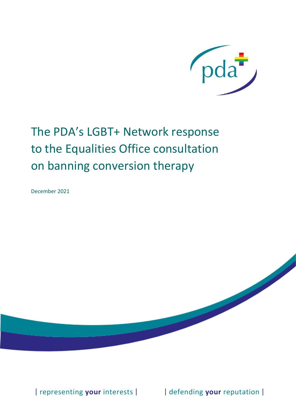

## The PDA's LGBT+ Network response to the Equalities Office consultation on banning conversion therapy

December 2021

| representing your interests | | | defending your reputation |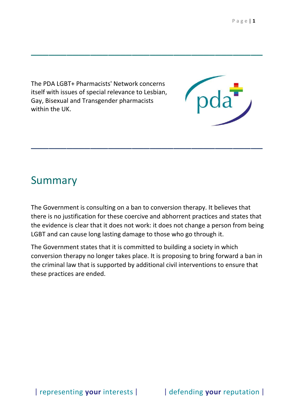The PDA LGBT+ Pharmacists' Network concerns itself with issues of special relevance to Lesbian, Gay, Bisexual and Transgender pharmacists within the UK.

## Summary

The Government is consulting on a ban to conversion therapy. It believes that there is no justification for these coercive and abhorrent practices and states that the evidence is clear that it does not work: it does not change a person from being LGBT and can cause long lasting damage to those who go through it.

\_\_\_\_\_\_\_\_\_\_\_\_\_\_\_\_\_\_\_\_\_\_\_\_\_\_\_\_\_\_\_\_\_\_\_\_\_\_\_

\_\_\_\_\_\_\_\_\_\_\_\_\_\_\_\_\_\_\_\_\_\_\_\_\_\_\_\_\_\_\_\_\_\_\_\_\_\_\_

The Government states that it is committed to building a society in which conversion therapy no longer takes place. It is proposing to bring forward a ban in the criminal law that is supported by additional civil interventions to ensure that these practices are ended.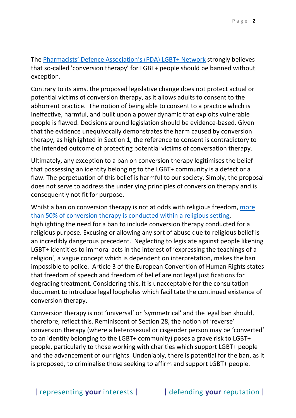The [Pharmacists' Defence Association's \(PDA\) LGBT+ Network](https://www.the-pda.org/get-involved/networks/lgbt/meet-the-lgbt-committee/) strongly believes that so-called 'conversion therapy' for LGBT+ people should be banned without exception.

Contrary to its aims, the proposed legislative change does not protect actual or potential victims of conversion therapy, as it allows adults to consent to the abhorrent practice. The notion of being able to consent to a practice which is ineffective, harmful, and built upon a power dynamic that exploits vulnerable people is flawed. Decisions around legislation should be evidence-based. Given that the evidence unequivocally demonstrates the harm caused by conversion therapy, as highlighted in Section 1, the reference to consent is contradictory to the intended outcome of protecting potential victims of conversation therapy.

Ultimately, any exception to a ban on conversion therapy legitimises the belief that possessing an identity belonging to the LGBT+ community is a defect or a flaw. The perpetuation of this belief is harmful to our society. Simply, the proposal does not serve to address the underlying principles of conversion therapy and is consequently not fit for purpose.

Whilst a ban on conversion therapy is not at odds with religious freedom, more [than 50% of conversion therapy is conducted within a religious setting,](https://assets.publishing.service.gov.uk/government/uploads/system/uploads/attachment_data/file/721704/LGBT-survey-research-report.pdf) highlighting the need for a ban to include conversion therapy conducted for a religious purpose. Excusing or allowing any sort of abuse due to religious belief is an incredibly dangerous precedent. Neglecting to legislate against people likening LGBT+ identities to immoral acts in the interest of 'expressing the teachings of a religion', a vague concept which is dependent on interpretation, makes the ban impossible to police. Article 3 of the European Convention of Human Rights states that freedom of speech and freedom of belief are not legal justifications for degrading treatment. Considering this, it is unacceptable for the consultation document to introduce legal loopholes which facilitate the continued existence of conversion therapy.

Conversion therapy is not 'universal' or 'symmetrical' and the legal ban should, therefore, reflect this. Reminiscent of Section 28, the notion of 'reverse' conversion therapy (where a heterosexual or cisgender person may be 'converted' to an identity belonging to the LGBT+ community) poses a grave risk to LGBT+ people, particularly to those working with charities which support LGBT+ people and the advancement of our rights. Undeniably, there is potential for the ban, as it is proposed, to criminalise those seeking to affirm and support LGBT+ people.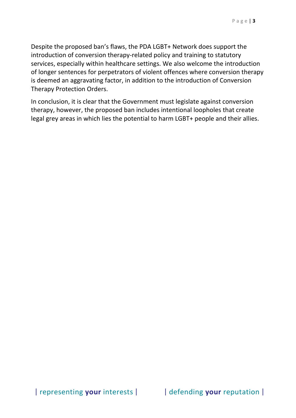Despite the proposed ban's flaws, the PDA LGBT+ Network does support the introduction of conversion therapy-related policy and training to statutory services, especially within healthcare settings. We also welcome the introduction of longer sentences for perpetrators of violent offences where conversion therapy is deemed an aggravating factor, in addition to the introduction of Conversion Therapy Protection Orders.

In conclusion, it is clear that the Government must legislate against conversion therapy, however, the proposed ban includes intentional loopholes that create legal grey areas in which lies the potential to harm LGBT+ people and their allies.